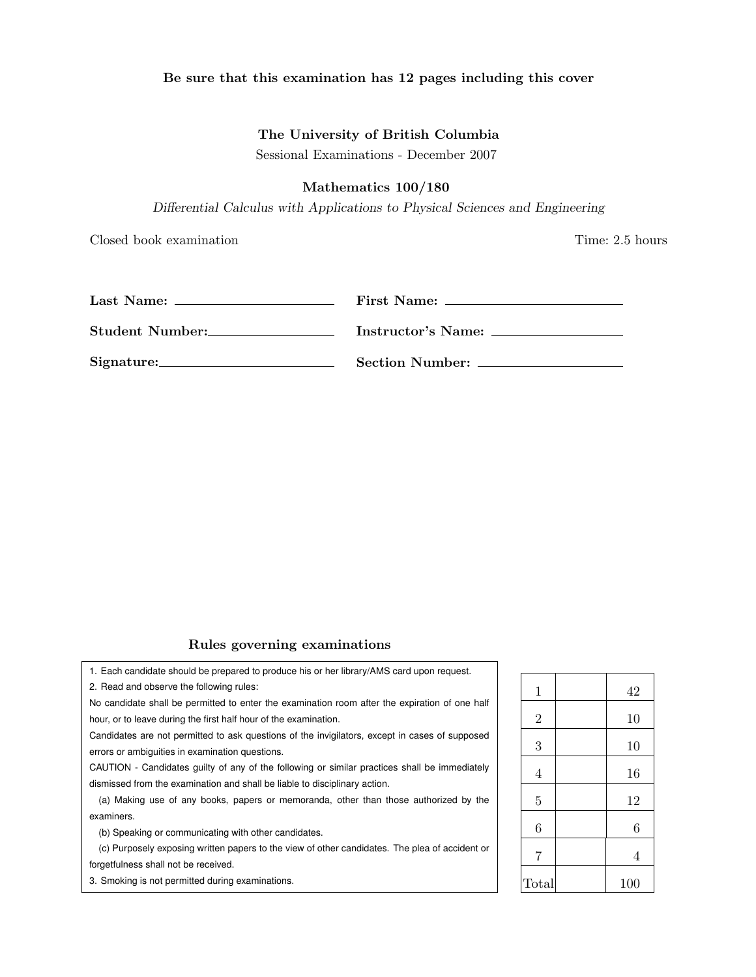## Be sure that this examination has 12 pages including this cover

# The University of British Columbia

Sessional Examinations - December 2007

# Mathematics 100/180

*Differential Calculus with Applications to Physical Sciences and Engineering*

Closed book examination Time: 2.5 hours

|                 | First Name:        |
|-----------------|--------------------|
| Student Number: | Instructor's Name: |
| Signature:      | Section Number:    |

# Rules governing examinations

| hould be prepared to produce his or her library/AMS card upon request.        |                |     |
|-------------------------------------------------------------------------------|----------------|-----|
| e the following rules:                                                        | 1              | 42  |
| be permitted to enter the examination room after the expiration of one half   |                |     |
| ing the first half hour of the examination.                                   | $\overline{2}$ | 10  |
| permitted to ask questions of the invigilators, except in cases of supposed   |                |     |
| in examination questions.                                                     | 3              | 10  |
| ates guilty of any of the following or similar practices shall be immediately | 4              | 16  |
| examination and shall be liable to disciplinary action.                       |                |     |
| f any books, papers or memoranda, other than those authorized by the          | 5              | 12  |
|                                                                               |                |     |
| mmunicating with other candidates.                                            | 6              | 6   |
| osing written papers to the view of other candidates. The plea of accident or | 7              | 4   |
| ot be received.                                                               |                |     |
| ermitted during examinations.                                                 | Total          | 100 |

1. Each candidate s

2. Read and observe

No candidate shall b hour, or to leave during

Candidates are not errors or ambiguities

CAUTION - Candida dismissed from the e

(a) Making use of examiners.

(b) Speaking or co

(c) Purposely expo forgetfulness shall no

3. Smoking is not pe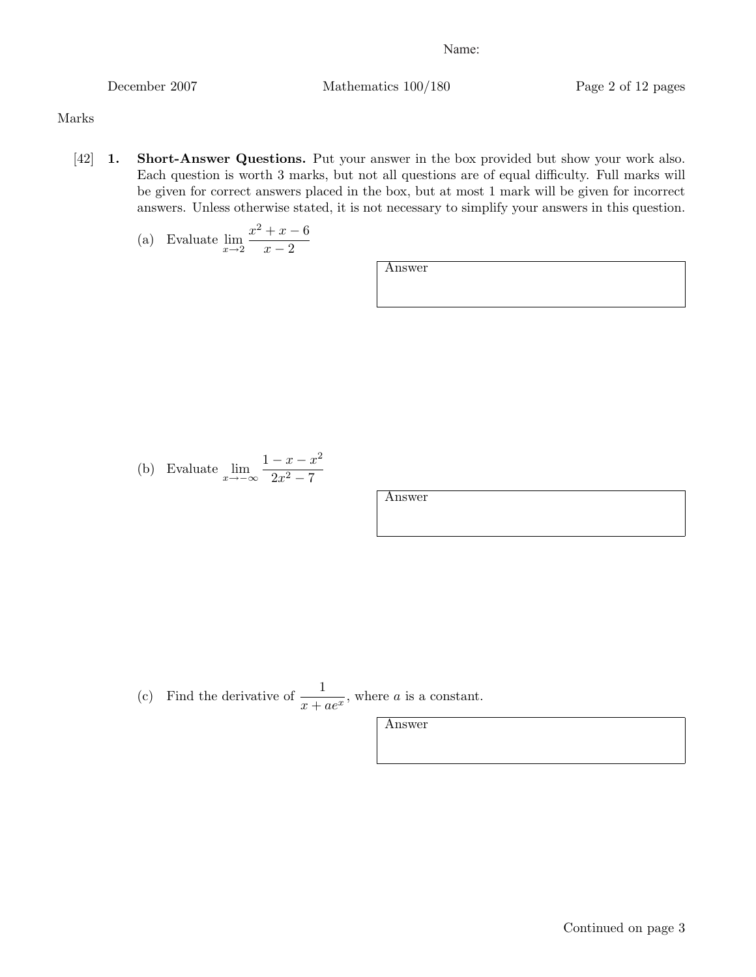December 2007 Mathematics 100/180 Page 2 of 12 pages

Marks

[42] 1. Short-Answer Questions. Put your answer in the box provided but show your work also. Each question is worth 3 marks, but not all questions are of equal difficulty. Full marks will be given for correct answers placed in the box, but at most 1 mark will be given for incorrect answers. Unless otherwise stated, it is not necessary to simplify your answers in this question.

(a) Evaluate 
$$
\lim_{x \to 2} \frac{x^2 + x - 6}{x - 2}
$$

Answer

(b) Evaluate 
$$
\lim_{x \to -\infty} \frac{1 - x - x^2}{2x^2 - 7}
$$

Answer

(c) Find the derivative of 
$$
\frac{1}{x + ae^x}
$$
, where *a* is a constant.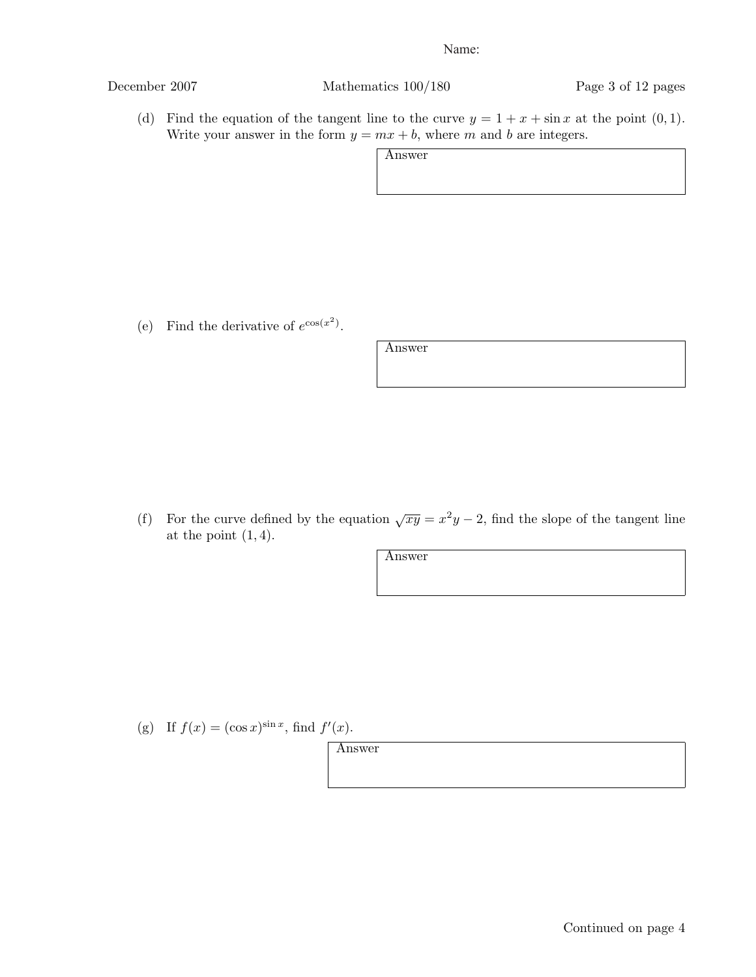Continued on page 4

December 2007 Mathematics 100/180 Page 3 of 12 pages

(d) Find the equation of the tangent line to the curve  $y = 1 + x + \sin x$  at the point  $(0, 1)$ . Write your answer in the form  $y = mx + b$ , where *m* and *b* are integers.

Answer

(e) Find the derivative of  $e^{\cos(x^2)}$ .

Answer

(f) For the curve defined by the equation  $\sqrt{xy} = x^2y - 2$ , find the slope of the tangent line at the point (1*,* 4).

Answer

(g) If  $f(x) = (\cos x)^{\sin x}$ , find  $f'(x)$ .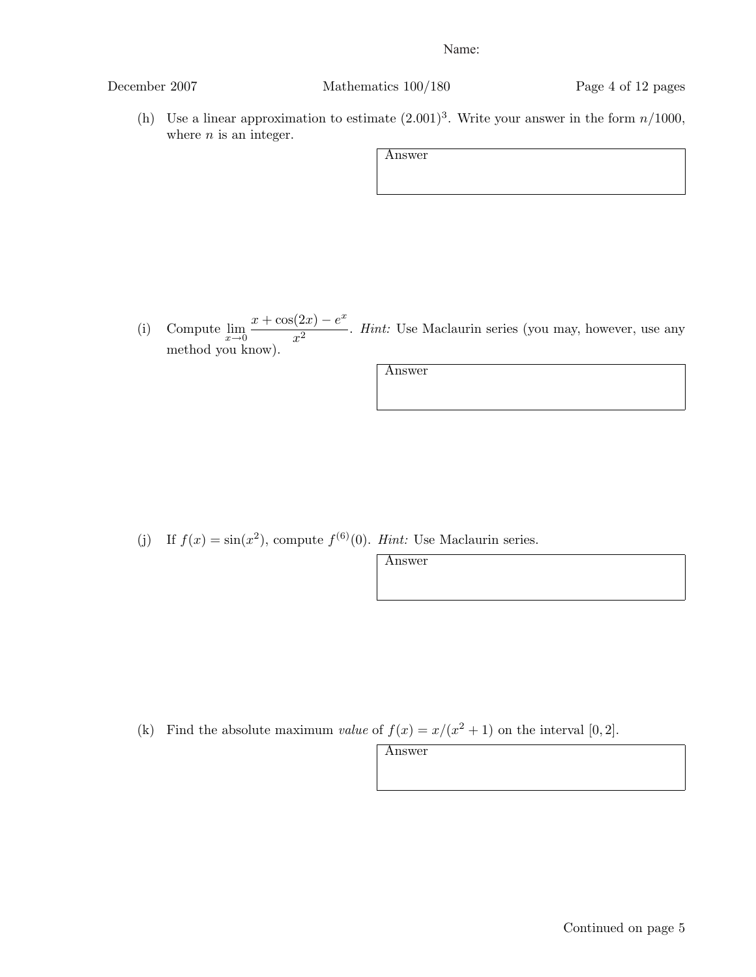December 2007 Mathematics 100/180 Page 4 of 12 pages

(h) Use a linear approximation to estimate  $(2.001)^3$ . Write your answer in the form  $n/1000$ , where *n* is an integer.

Answer

(i) Compute  $\lim_{x\to 0}$  $x + \cos(2x) - e^x$  $\frac{1}{x^2}$  *Hint:* Use Maclaurin series (you may, however, use any method you know).

Answer

(j) If  $f(x) = \sin(x^2)$ , compute  $f^{(6)}(0)$ . *Hint:* Use Maclaurin series.

Answer

(k) Find the absolute maximum *value* of  $f(x) = x/(x^2 + 1)$  on the interval [0, 2].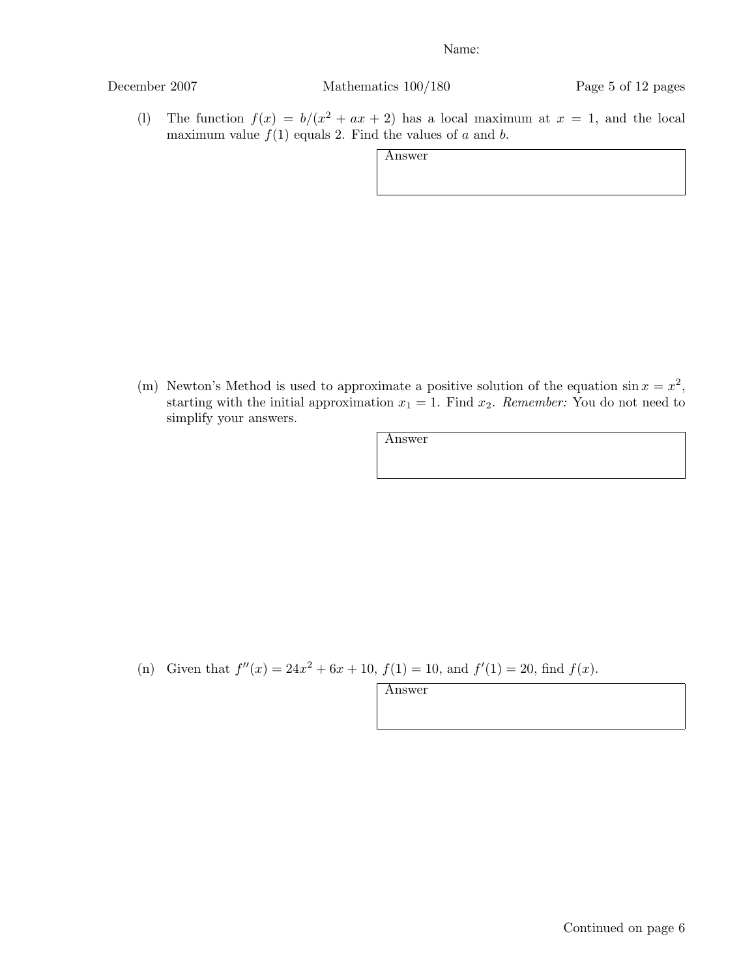December 2007 Mathematics 100/180 Page 5 of 12 pages

(1) The function  $f(x) = b/(x^2 + ax + 2)$  has a local maximum at  $x = 1$ , and the local maximum value  $f(1)$  equals 2. Find the values of  $a$  and  $b$ .

Answer

(m) Newton's Method is used to approximate a positive solution of the equation  $\sin x = x^2$ , starting with the initial approximation  $x_1 = 1$ . Find  $x_2$ . *Remember:* You do not need to simplify your answers.

Answer

(n) Given that  $f''(x) = 24x^2 + 6x + 10$ ,  $f(1) = 10$ , and  $f'(1) = 20$ , find  $f(x)$ .

Answer

Continued on page 6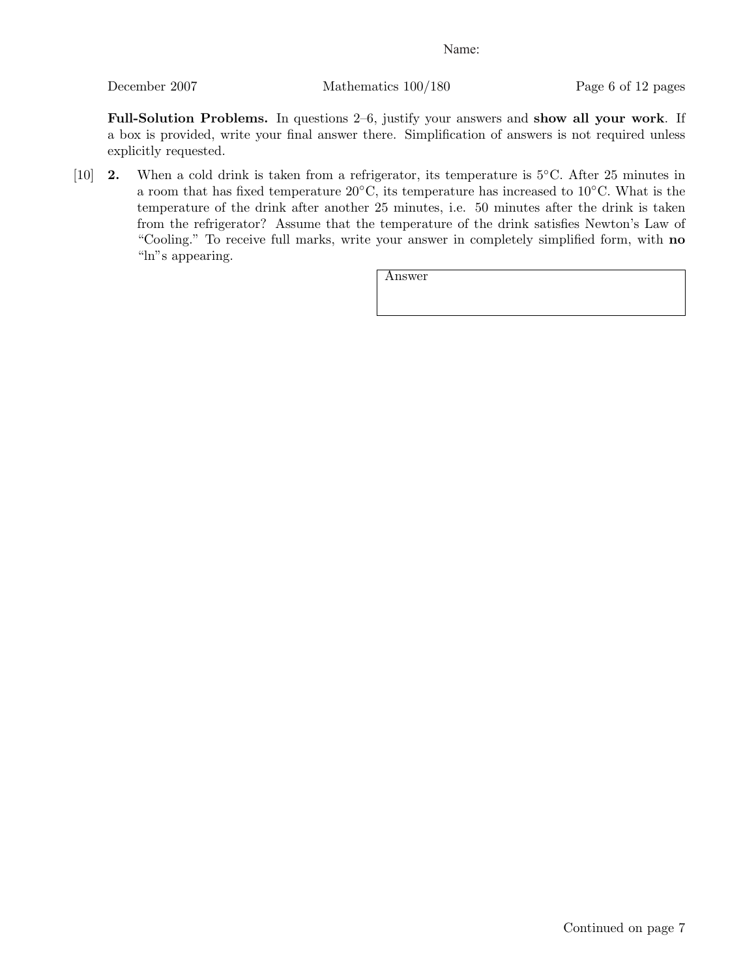December 2007 Mathematics 100/180 Page 6 of 12 pages

Full-Solution Problems. In questions 2–6, justify your answers and show all your work. If a box is provided, write your final answer there. Simplification of answers is not required unless explicitly requested.

[10] 2. When a cold drink is taken from a refrigerator, its temperature is 5*◦*C. After 25 minutes in a room that has fixed temperature 20*◦*C, its temperature has increased to 10*◦*C. What is the temperature of the drink after another 25 minutes, i.e. 50 minutes after the drink is taken from the refrigerator? Assume that the temperature of the drink satisfies Newton's Law of "Cooling." To receive full marks, write your answer in completely simplified form, with no "ln"s appearing.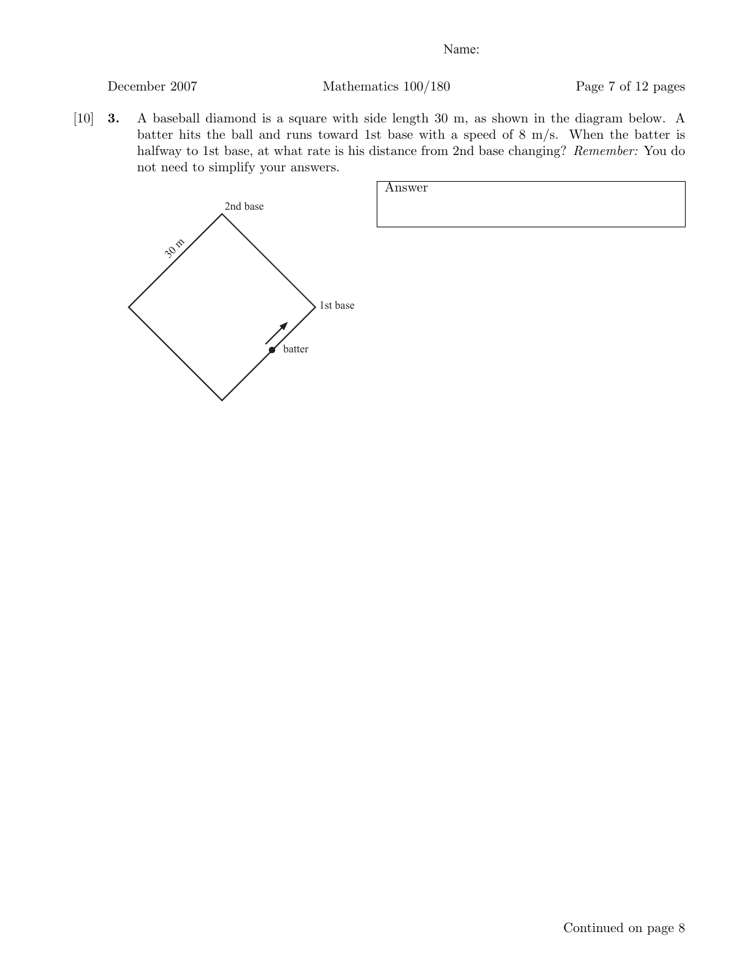December 2007 Mathematics 100/180 Page 7 of 12 pages

[10] 3. A baseball diamond is a square with side length 30 m, as shown in the diagram below. A batter hits the ball and runs toward 1st base with a speed of 8 m/s. When the batter is halfway to 1st base, at what rate is his distance from 2nd base changing? *Remember:* You do not need to simplify your answers.

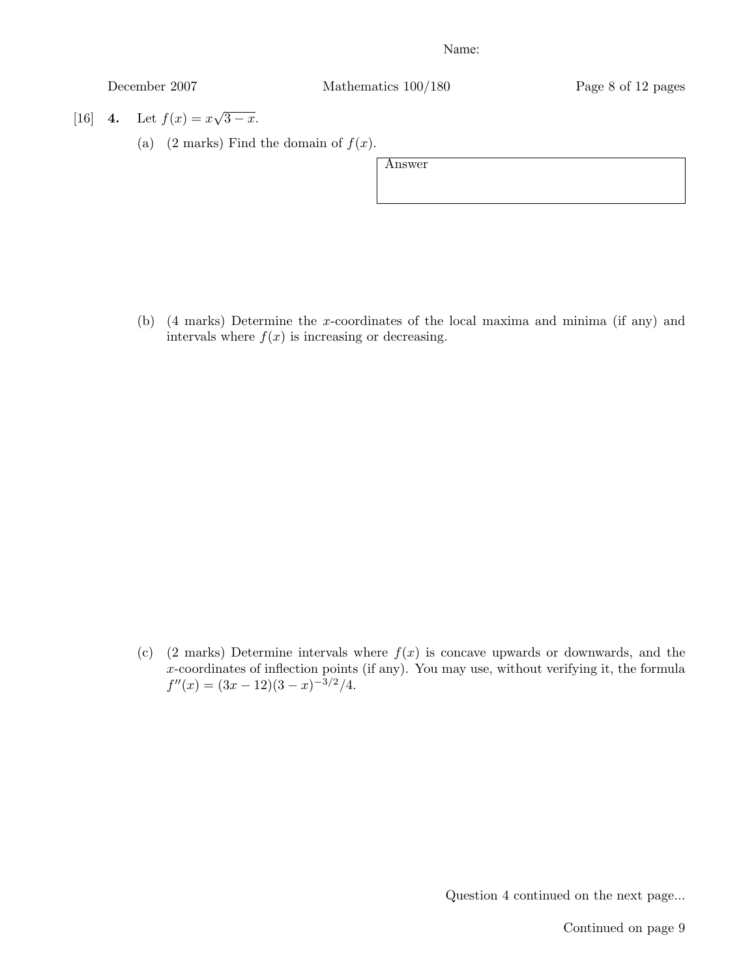December 2007 Mathematics 100/180 Page 8 of 12 pages

[16] 4. Let  $f(x) = x\sqrt{3-x}$ .

(a)  $(2 \text{ marks})$  Find the domain of  $f(x)$ .

Answer

(b) (4 marks) Determine the *x*-coordinates of the local maxima and minima (if any) and intervals where  $f(x)$  is increasing or decreasing.

(c) (2 marks) Determine intervals where  $f(x)$  is concave upwards or downwards, and the *x*-coordinates of inflection points (if any). You may use, without verifying it, the formula  $f''(x) = (3x - 12)(3 - x)^{-3/2}/4.$ 

Question 4 continued on the next page...

Continued on page 9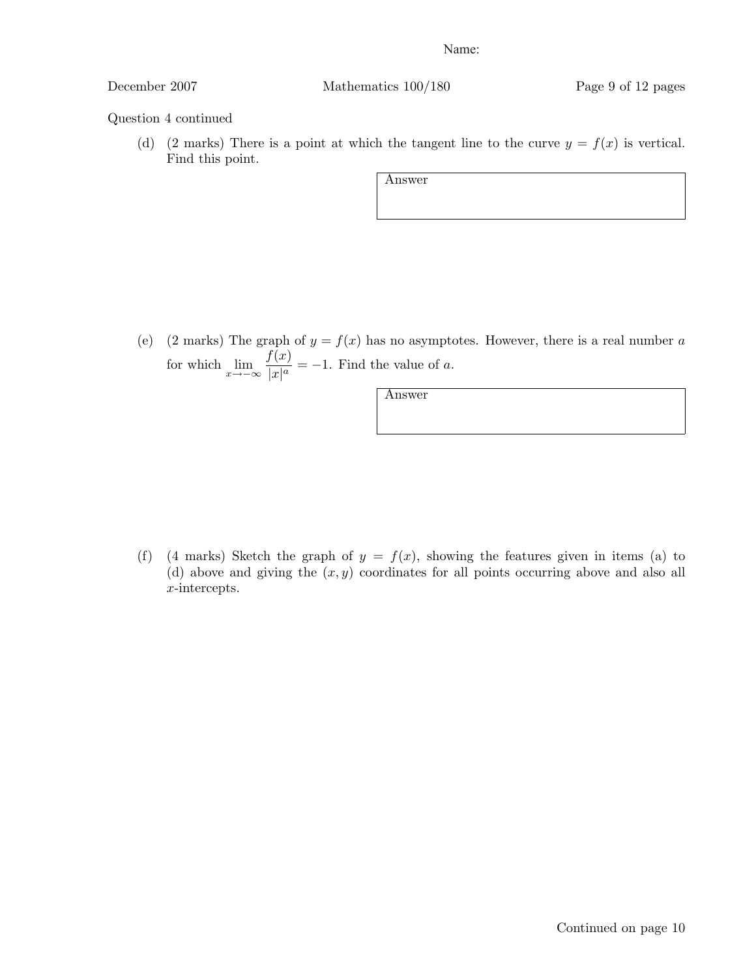December 2007 Mathematics 100/180 Page 9 of 12 pages

# Question 4 continued

(d) (2 marks) There is a point at which the tangent line to the curve  $y = f(x)$  is vertical. Find this point.

Answer

(e) (2 marks) The graph of  $y = f(x)$  has no asymptotes. However, there is a real number *a* for which  $\lim_{x \to -\infty} \frac{f(x)}{|x|^a}$  $\frac{f(x)}{|x|^a} = -1$ . Find the value of *a*.

Answer

(f) (4 marks) Sketch the graph of  $y = f(x)$ , showing the features given in items (a) to (d) above and giving the (*x, y*) coordinates for all points occurring above and also all *x*-intercepts.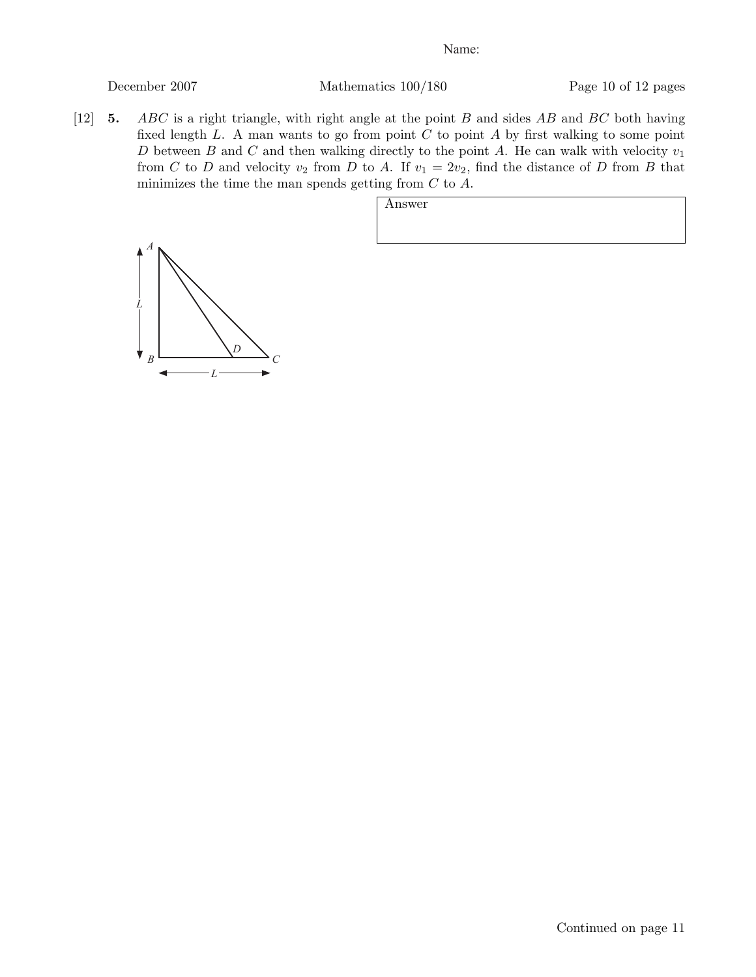December 2007 Mathematics 100/180 Page 10 of 12 pages

[12] 5. *ABC* is a right triangle, with right angle at the point *B* and sides *AB* and *BC* both having fixed length *L*. A man wants to go from point *C* to point *A* by first walking to some point *D* between *B* and *C* and then walking directly to the point *A*. He can walk with velocity *v*<sup>1</sup> from *C* to *D* and velocity  $v_2$  from *D* to *A*. If  $v_1 = 2v_2$ , find the distance of *D* from *B* that minimizes the time the man spends getting from *C* to *A*.

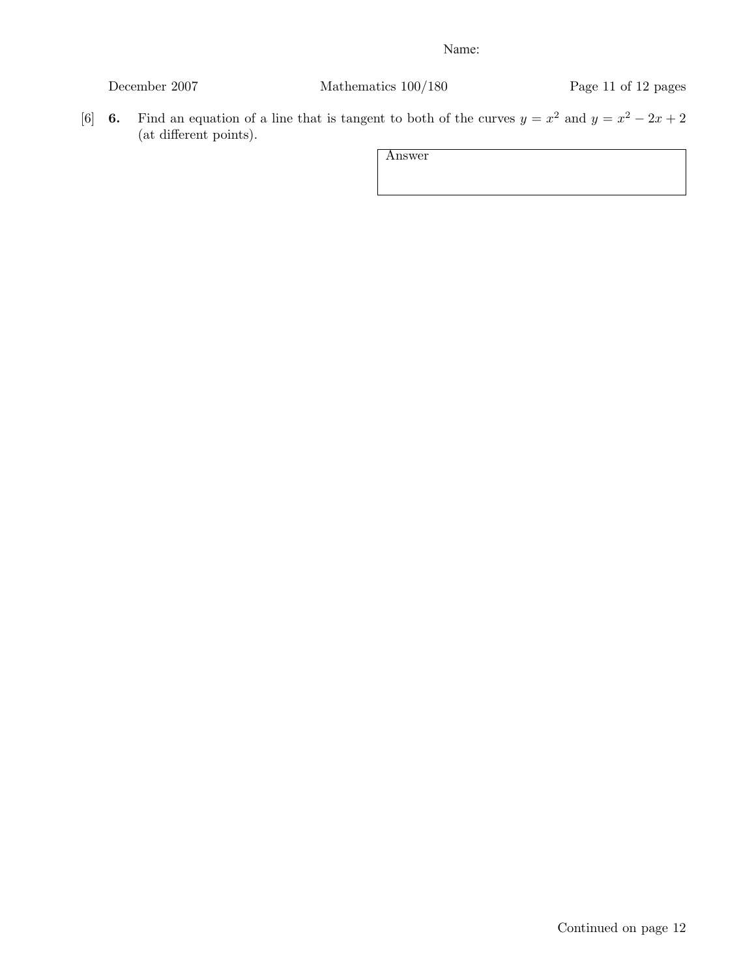| December 2007 |  |
|---------------|--|
|               |  |

Mathematics  $100/180$  Page 11 of 12 pages

[6] 6. Find an equation of a line that is tangent to both of the curves  $y = x^2$  and  $y = x^2 - 2x + 2$ (at different points).